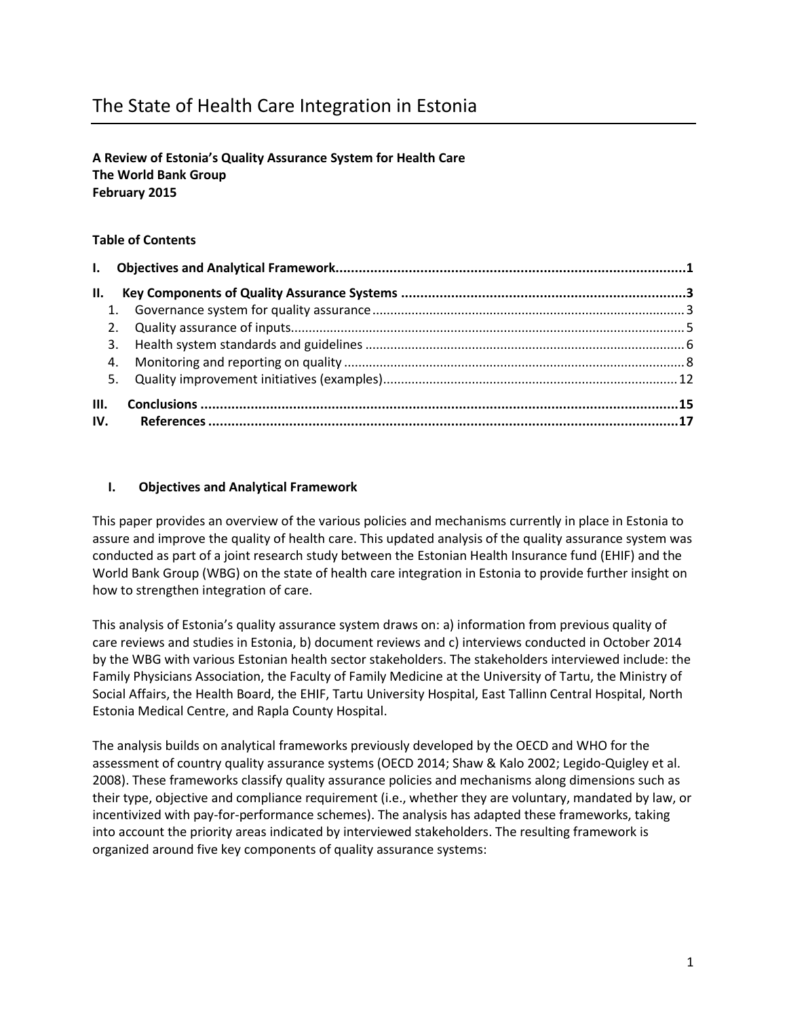# The State of Health Care Integration in Estonia

# **A Review of Estonia's Quality Assurance System for Health Care The World Bank Group February 2015**

# **Table of Contents**

| II.  |  |
|------|--|
|      |  |
|      |  |
|      |  |
|      |  |
|      |  |
| III. |  |
| IV.  |  |

# **I. Objectives and Analytical Framework**

This paper provides an overview of the various policies and mechanisms currently in place in Estonia to assure and improve the quality of health care. This updated analysis of the quality assurance system was conducted as part of a joint research study between the Estonian Health Insurance fund (EHIF) and the World Bank Group (WBG) on the state of health care integration in Estonia to provide further insight on how to strengthen integration of care.

This analysis of Estonia's quality assurance system draws on: a) information from previous quality of care reviews and studies in Estonia, b) document reviews and c) interviews conducted in October 2014 by the WBG with various Estonian health sector stakeholders. The stakeholders interviewed include: the Family Physicians Association, the Faculty of Family Medicine at the University of Tartu, the Ministry of Social Affairs, the Health Board, the EHIF, Tartu University Hospital, East Tallinn Central Hospital, North Estonia Medical Centre, and Rapla County Hospital.

The analysis builds on analytical frameworks previously developed by the OECD and WHO for the assessment of country quality assurance systems (OECD 2014; Shaw & Kalo 2002; Legido-Quigley et al. 2008). These frameworks classify quality assurance policies and mechanisms along dimensions such as their type, objective and compliance requirement (i.e., whether they are voluntary, mandated by law, or incentivized with pay-for-performance schemes). The analysis has adapted these frameworks, taking into account the priority areas indicated by interviewed stakeholders. The resulting framework is organized around five key components of quality assurance systems: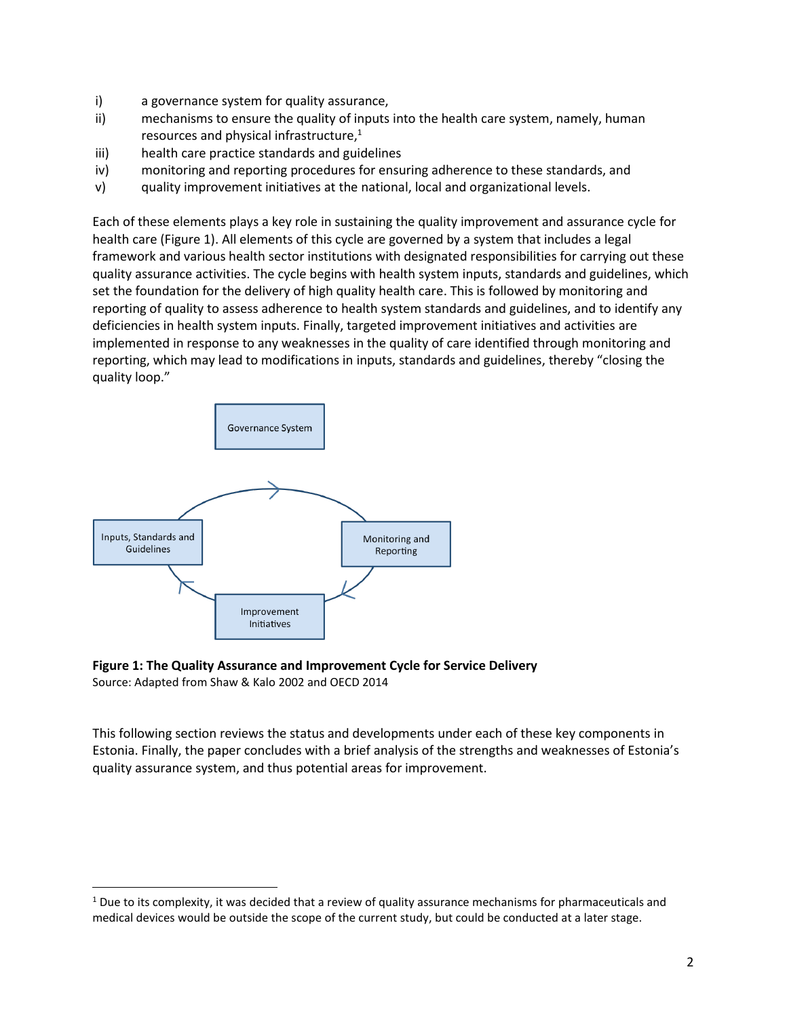- i) a governance system for quality assurance,
- ii) mechanisms to ensure the quality of inputs into the health care system, namely, human resources and physical infrastructure, 1
- iii) health care practice standards and guidelines
- iv) monitoring and reporting procedures for ensuring adherence to these standards, and
- v) quality improvement initiatives at the national, local and organizational levels.

Each of these elements plays a key role in sustaining the quality improvement and assurance cycle for health care (Figure 1). All elements of this cycle are governed by a system that includes a legal framework and various health sector institutions with designated responsibilities for carrying out these quality assurance activities. The cycle begins with health system inputs, standards and guidelines, which set the foundation for the delivery of high quality health care. This is followed by monitoring and reporting of quality to assess adherence to health system standards and guidelines, and to identify any deficiencies in health system inputs. Finally, targeted improvement initiatives and activities are implemented in response to any weaknesses in the quality of care identified through monitoring and reporting, which may lead to modifications in inputs, standards and guidelines, thereby "closing the quality loop."



l

### **Figure 1: The Quality Assurance and Improvement Cycle for Service Delivery** Source: Adapted from Shaw & Kalo 2002 and OECD 2014

This following section reviews the status and developments under each of these key components in Estonia. Finally, the paper concludes with a brief analysis of the strengths and weaknesses of Estonia's quality assurance system, and thus potential areas for improvement.

 $1$  Due to its complexity, it was decided that a review of quality assurance mechanisms for pharmaceuticals and medical devices would be outside the scope of the current study, but could be conducted at a later stage.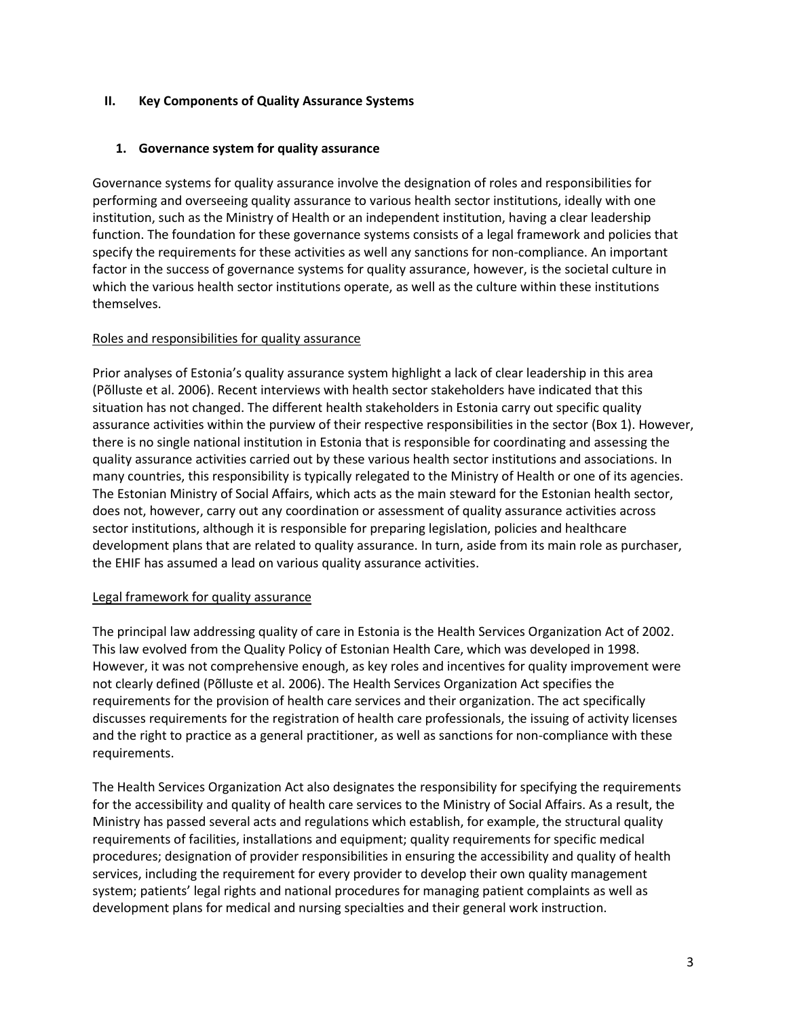# **II. Key Components of Quality Assurance Systems**

# **1. Governance system for quality assurance**

Governance systems for quality assurance involve the designation of roles and responsibilities for performing and overseeing quality assurance to various health sector institutions, ideally with one institution, such as the Ministry of Health or an independent institution, having a clear leadership function. The foundation for these governance systems consists of a legal framework and policies that specify the requirements for these activities as well any sanctions for non-compliance. An important factor in the success of governance systems for quality assurance, however, is the societal culture in which the various health sector institutions operate, as well as the culture within these institutions themselves.

### Roles and responsibilities for quality assurance

Prior analyses of Estonia's quality assurance system highlight a lack of clear leadership in this area (Põlluste et al. 2006). Recent interviews with health sector stakeholders have indicated that this situation has not changed. The different health stakeholders in Estonia carry out specific quality assurance activities within the purview of their respective responsibilities in the sector (Box 1). However, there is no single national institution in Estonia that is responsible for coordinating and assessing the quality assurance activities carried out by these various health sector institutions and associations. In many countries, this responsibility is typically relegated to the Ministry of Health or one of its agencies. The Estonian Ministry of Social Affairs, which acts as the main steward for the Estonian health sector, does not, however, carry out any coordination or assessment of quality assurance activities across sector institutions, although it is responsible for preparing legislation, policies and healthcare development plans that are related to quality assurance. In turn, aside from its main role as purchaser, the EHIF has assumed a lead on various quality assurance activities.

### Legal framework for quality assurance

The principal law addressing quality of care in Estonia is the Health Services Organization Act of 2002. This law evolved from the Quality Policy of Estonian Health Care, which was developed in 1998. However, it was not comprehensive enough, as key roles and incentives for quality improvement were not clearly defined (Põlluste et al. 2006). The Health Services Organization Act specifies the requirements for the provision of health care services and their organization. The act specifically discusses requirements for the registration of health care professionals, the issuing of activity licenses and the right to practice as a general practitioner, as well as sanctions for non-compliance with these requirements.

The Health Services Organization Act also designates the responsibility for specifying the requirements for the accessibility and quality of health care services to the Ministry of Social Affairs. As a result, the Ministry has passed several acts and regulations which establish, for example, the structural quality requirements of facilities, installations and equipment; quality requirements for specific medical procedures; designation of provider responsibilities in ensuring the accessibility and quality of health services, including the requirement for every provider to develop their own quality management system; patients' legal rights and national procedures for managing patient complaints as well as development plans for medical and nursing specialties and their general work instruction.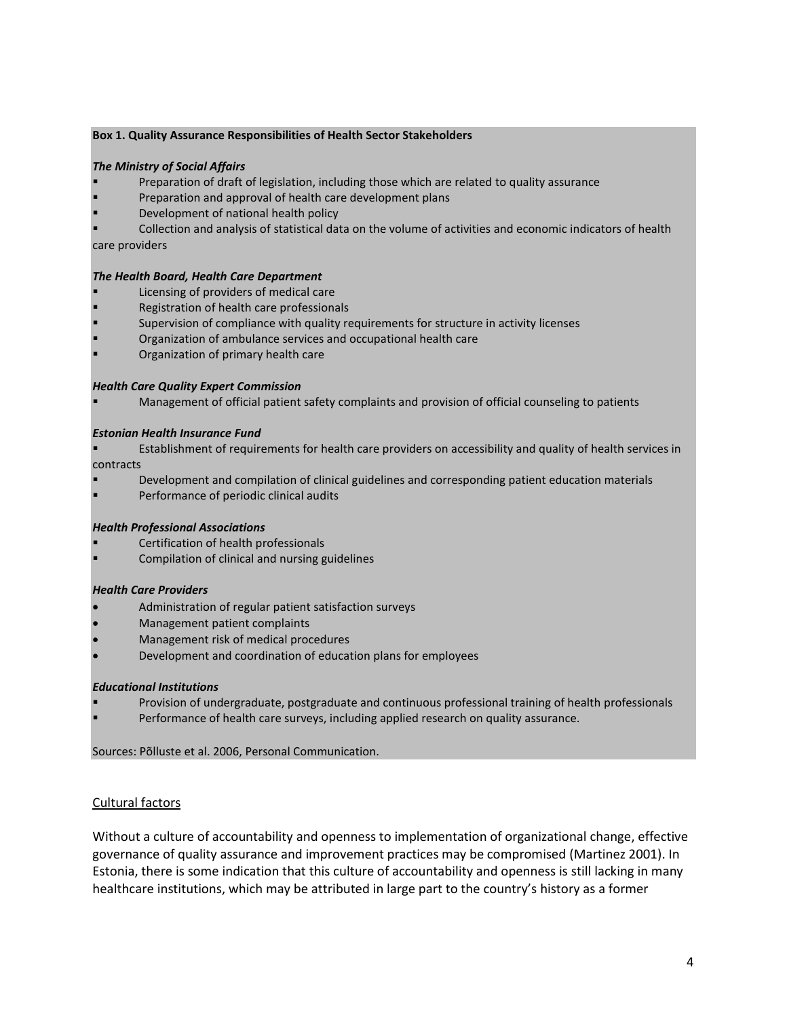### **Box 1. Quality Assurance Responsibilities of Health Sector Stakeholders**

#### *The Ministry of Social Affairs*

- Preparation of draft of legislation, including those which are related to quality assurance
- Preparation and approval of health care development plans
- Development of national health policy

 Collection and analysis of statistical data on the volume of activities and economic indicators of health care providers

#### *The Health Board, Health Care Department*

- Licensing of providers of medical care
- Registration of health care professionals
- Supervision of compliance with quality requirements for structure in activity licenses
- Organization of ambulance services and occupational health care
- Organization of primary health care

#### *Health Care Quality Expert Commission*

Management of official patient safety complaints and provision of official counseling to patients

#### *Estonian Health Insurance Fund*

- Establishment of requirements for health care providers on accessibility and quality of health services in contracts
- 
- Development and compilation of clinical guidelines and corresponding patient education materials
- Performance of periodic clinical audits

### *Health Professional Associations*

- Certification of health professionals
- Compilation of clinical and nursing guidelines

#### *Health Care Providers*

- Administration of regular patient satisfaction surveys
- Management patient complaints
- Management risk of medical procedures
- Development and coordination of education plans for employees

#### *Educational Institutions*

- Provision of undergraduate, postgraduate and continuous professional training of health professionals
	- Performance of health care surveys, including applied research on quality assurance.

Sources: Põlluste et al. 2006, Personal Communication.

### Cultural factors

Without a culture of accountability and openness to implementation of organizational change, effective governance of quality assurance and improvement practices may be compromised (Martinez 2001). In Estonia, there is some indication that this culture of accountability and openness is still lacking in many healthcare institutions, which may be attributed in large part to the country's history as a former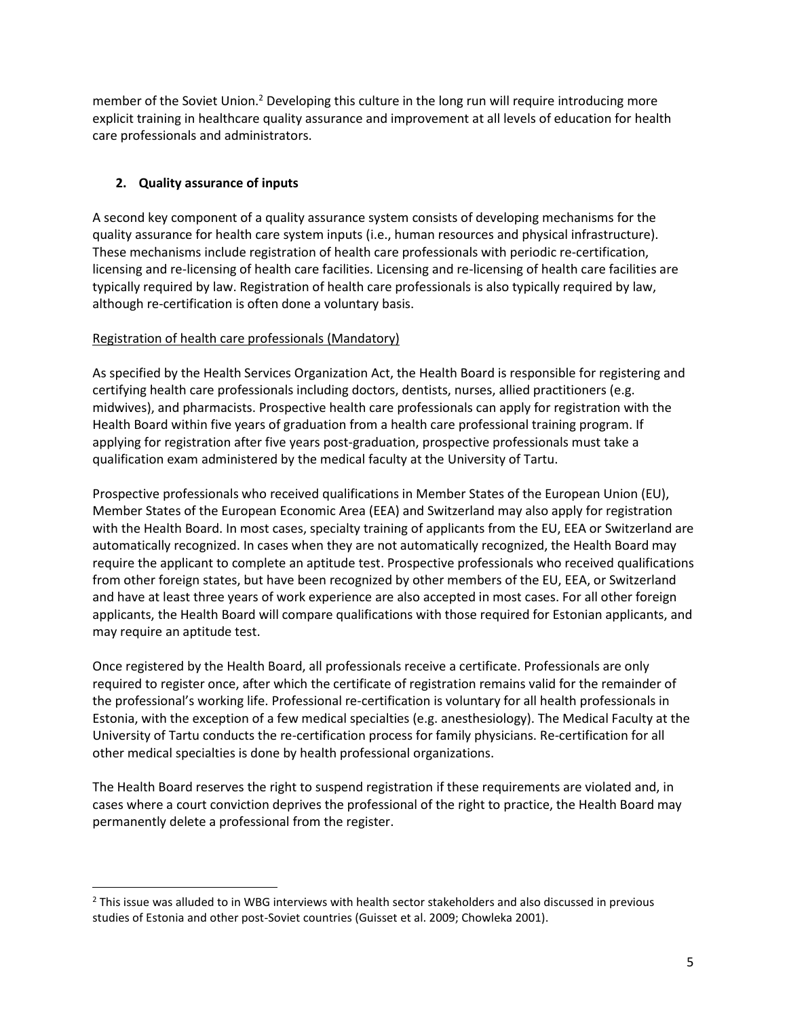member of the Soviet Union.<sup>2</sup> Developing this culture in the long run will require introducing more explicit training in healthcare quality assurance and improvement at all levels of education for health care professionals and administrators.

# **2. Quality assurance of inputs**

l

A second key component of a quality assurance system consists of developing mechanisms for the quality assurance for health care system inputs (i.e., human resources and physical infrastructure). These mechanisms include registration of health care professionals with periodic re-certification, licensing and re-licensing of health care facilities. Licensing and re-licensing of health care facilities are typically required by law. Registration of health care professionals is also typically required by law, although re-certification is often done a voluntary basis.

# Registration of health care professionals (Mandatory)

As specified by the Health Services Organization Act, the Health Board is responsible for registering and certifying health care professionals including doctors, dentists, nurses, allied practitioners (e.g. midwives), and pharmacists. Prospective health care professionals can apply for registration with the Health Board within five years of graduation from a health care professional training program. If applying for registration after five years post-graduation, prospective professionals must take a qualification exam administered by the medical faculty at the University of Tartu.

Prospective professionals who received qualifications in Member States of the European Union (EU), Member States of the European Economic Area (EEA) and Switzerland may also apply for registration with the Health Board. In most cases, specialty training of applicants from the EU, EEA or Switzerland are automatically recognized. In cases when they are not automatically recognized, the Health Board may require the applicant to complete an aptitude test. Prospective professionals who received qualifications from other foreign states, but have been recognized by other members of the EU, EEA, or Switzerland and have at least three years of work experience are also accepted in most cases. For all other foreign applicants, the Health Board will compare qualifications with those required for Estonian applicants, and may require an aptitude test.

Once registered by the Health Board, all professionals receive a certificate. Professionals are only required to register once, after which the certificate of registration remains valid for the remainder of the professional's working life. Professional re-certification is voluntary for all health professionals in Estonia, with the exception of a few medical specialties (e.g. anesthesiology). The Medical Faculty at the University of Tartu conducts the re-certification process for family physicians. Re-certification for all other medical specialties is done by health professional organizations.

The Health Board reserves the right to suspend registration if these requirements are violated and, in cases where a court conviction deprives the professional of the right to practice, the Health Board may permanently delete a professional from the register.

<sup>&</sup>lt;sup>2</sup> This issue was alluded to in WBG interviews with health sector stakeholders and also discussed in previous studies of Estonia and other post-Soviet countries (Guisset et al. 2009; Chowleka 2001).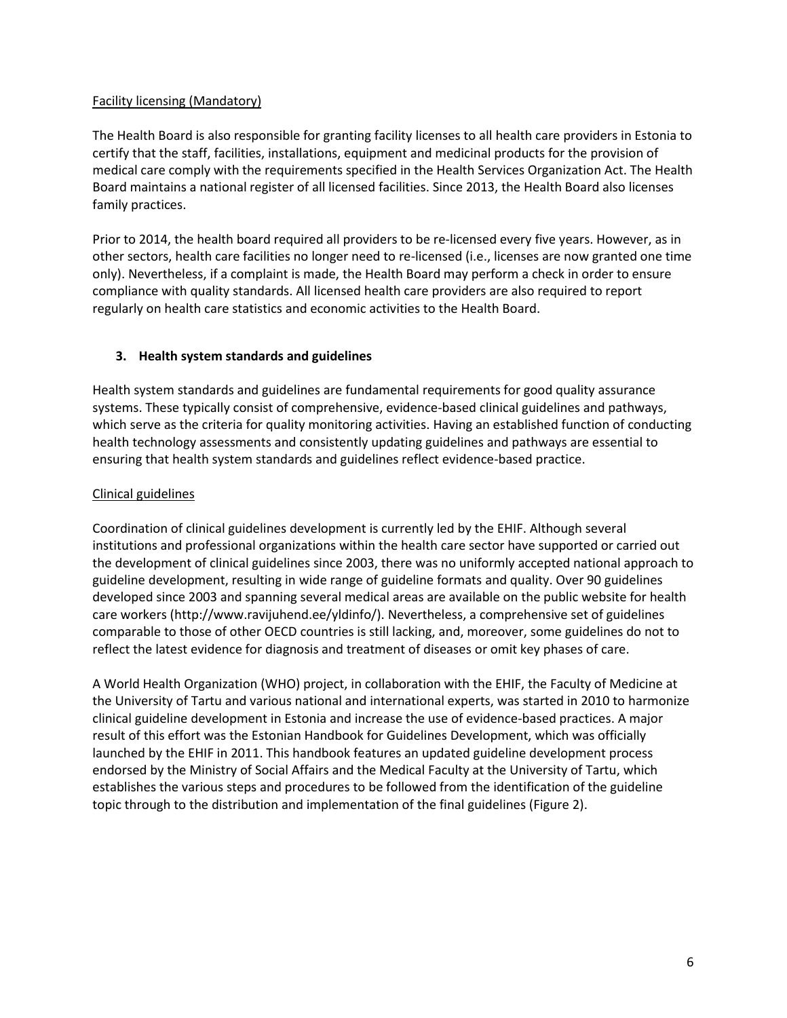# Facility licensing (Mandatory)

The Health Board is also responsible for granting facility licenses to all health care providers in Estonia to certify that the staff, facilities, installations, equipment and medicinal products for the provision of medical care comply with the requirements specified in the Health Services Organization Act. The Health Board maintains a national register of all licensed facilities. Since 2013, the Health Board also licenses family practices.

Prior to 2014, the health board required all providers to be re-licensed every five years. However, as in other sectors, health care facilities no longer need to re-licensed (i.e., licenses are now granted one time only). Nevertheless, if a complaint is made, the Health Board may perform a check in order to ensure compliance with quality standards. All licensed health care providers are also required to report regularly on health care statistics and economic activities to the Health Board.

# **3. Health system standards and guidelines**

Health system standards and guidelines are fundamental requirements for good quality assurance systems. These typically consist of comprehensive, evidence-based clinical guidelines and pathways, which serve as the criteria for quality monitoring activities. Having an established function of conducting health technology assessments and consistently updating guidelines and pathways are essential to ensuring that health system standards and guidelines reflect evidence-based practice.

# Clinical guidelines

Coordination of clinical guidelines development is currently led by the EHIF. Although several institutions and professional organizations within the health care sector have supported or carried out the development of clinical guidelines since 2003, there was no uniformly accepted national approach to guideline development, resulting in wide range of guideline formats and quality. Over 90 guidelines developed since 2003 and spanning several medical areas are available on the public website for health care workers (http://www.ravijuhend.ee/yldinfo/). Nevertheless, a comprehensive set of guidelines comparable to those of other OECD countries is still lacking, and, moreover, some guidelines do not to reflect the latest evidence for diagnosis and treatment of diseases or omit key phases of care.

A World Health Organization (WHO) project, in collaboration with the EHIF, the Faculty of Medicine at the University of Tartu and various national and international experts, was started in 2010 to harmonize clinical guideline development in Estonia and increase the use of evidence-based practices. A major result of this effort was the Estonian Handbook for Guidelines Development, which was officially launched by the EHIF in 2011. This handbook features an updated guideline development process endorsed by the Ministry of Social Affairs and the Medical Faculty at the University of Tartu, which establishes the various steps and procedures to be followed from the identification of the guideline topic through to the distribution and implementation of the final guidelines (Figure 2).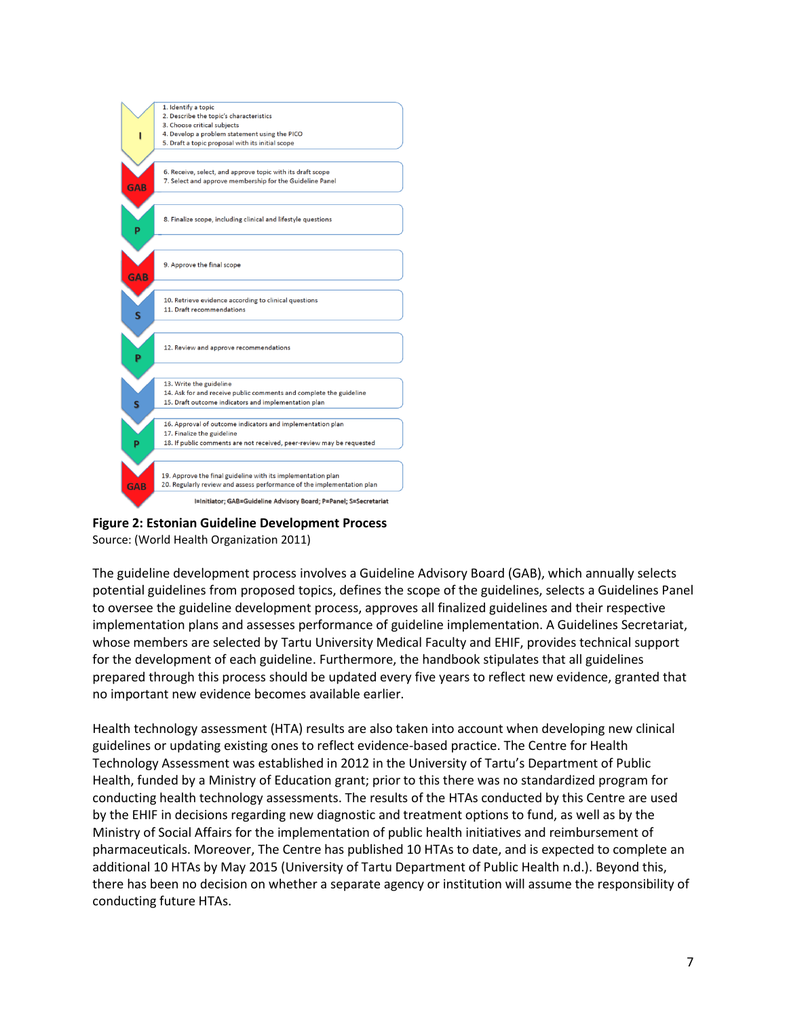

**Figure 2: Estonian Guideline Development Process** Source: (World Health Organization 2011)

The guideline development process involves a Guideline Advisory Board (GAB), which annually selects potential guidelines from proposed topics, defines the scope of the guidelines, selects a Guidelines Panel to oversee the guideline development process, approves all finalized guidelines and their respective implementation plans and assesses performance of guideline implementation. A Guidelines Secretariat, whose members are selected by Tartu University Medical Faculty and EHIF, provides technical support for the development of each guideline. Furthermore, the handbook stipulates that all guidelines prepared through this process should be updated every five years to reflect new evidence, granted that no important new evidence becomes available earlier.

Health technology assessment (HTA) results are also taken into account when developing new clinical guidelines or updating existing ones to reflect evidence-based practice. The Centre for Health Technology Assessment was established in 2012 in the University of Tartu's Department of Public Health, funded by a Ministry of Education grant; prior to this there was no standardized program for conducting health technology assessments. The results of the HTAs conducted by this Centre are used by the EHIF in decisions regarding new diagnostic and treatment options to fund, as well as by the Ministry of Social Affairs for the implementation of public health initiatives and reimbursement of pharmaceuticals. Moreover, The Centre has published 10 HTAs to date, and is expected to complete an additional 10 HTAs by May 2015 (University of Tartu Department of Public Health n.d.). Beyond this, there has been no decision on whether a separate agency or institution will assume the responsibility of conducting future HTAs.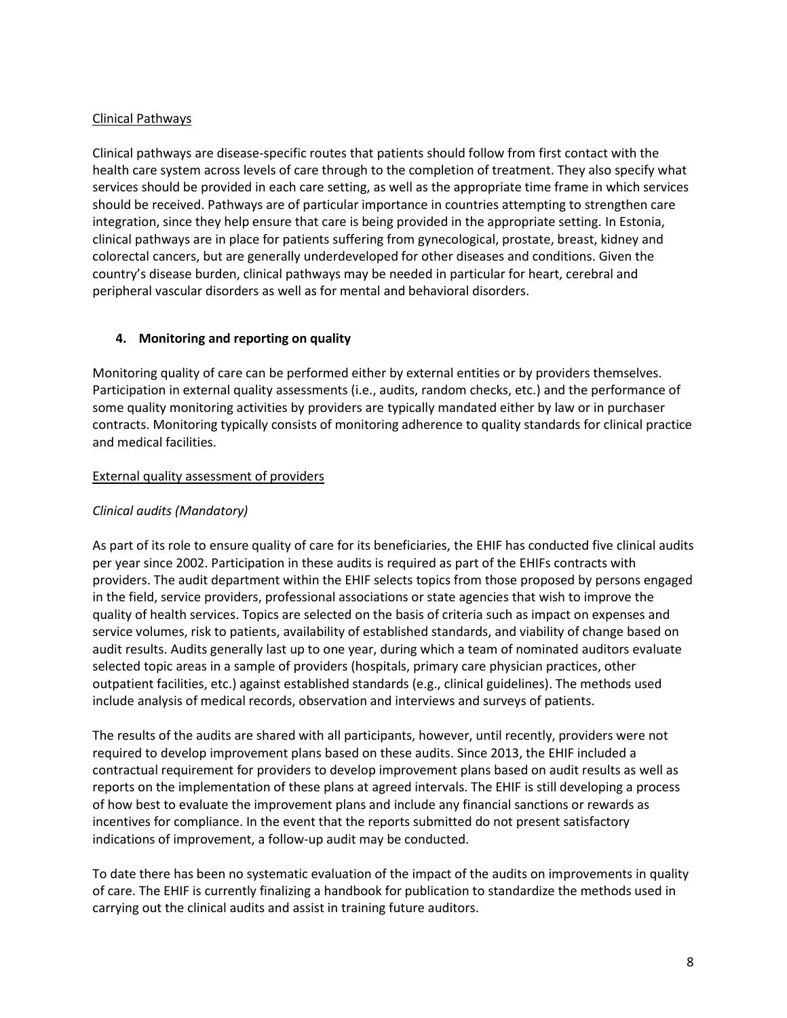# Clinical Pathways

Clinical pathways are disease-specific routes that patients should follow from first contact with the health care system across levels of care through to the completion of treatment. They also specify what services should be provided in each care setting, as well as the appropriate time frame in which services should be received. Pathways are of particular importance in countries attempting to strengthen care integration, since they help ensure that care is being provided in the appropriate setting. In Estonia, clinical pathways are in place for patients suffering from gynecological, prostate, breast, kidney and colorectal cancers, but are generally underdeveloped for other diseases and conditions. Given the country's disease burden, clinical pathways may be needed in particular for heart, cerebral and peripheral vascular disorders as well as for mental and behavioral disorders.

# **4. Monitoring and reporting on quality**

Monitoring quality of care can be performed either by external entities or by providers themselves. Participation in external quality assessments (i.e., audits, random checks, etc.) and the performance of some quality monitoring activities by providers are typically mandated either by law or in purchaser contracts. Monitoring typically consists of monitoring adherence to quality standards for clinical practice and medical facilities.

# External quality assessment of providers

# *Clinical audits (Mandatory)*

As part of its role to ensure quality of care for its beneficiaries, the EHIF has conducted five clinical audits per year since 2002. Participation in these audits is required as part of the EHIFs contracts with providers. The audit department within the EHIF selects topics from those proposed by persons engaged in the field, service providers, professional associations or state agencies that wish to improve the quality of health services. Topics are selected on the basis of criteria such as impact on expenses and service volumes, risk to patients, availability of established standards, and viability of change based on audit results. Audits generally last up to one year, during which a team of nominated auditors evaluate selected topic areas in a sample of providers (hospitals, primary care physician practices, other outpatient facilities, etc.) against established standards (e.g., clinical guidelines). The methods used include analysis of medical records, observation and interviews and surveys of patients.

The results of the audits are shared with all participants, however, until recently, providers were not required to develop improvement plans based on these audits. Since 2013, the EHIF included a contractual requirement for providers to develop improvement plans based on audit results as well as reports on the implementation of these plans at agreed intervals. The EHIF is still developing a process of how best to evaluate the improvement plans and include any financial sanctions or rewards as incentives for compliance. In the event that the reports submitted do not present satisfactory indications of improvement, a follow-up audit may be conducted.

To date there has been no systematic evaluation of the impact of the audits on improvements in quality of care. The EHIF is currently finalizing a handbook for publication to standardize the methods used in carrying out the clinical audits and assist in training future auditors.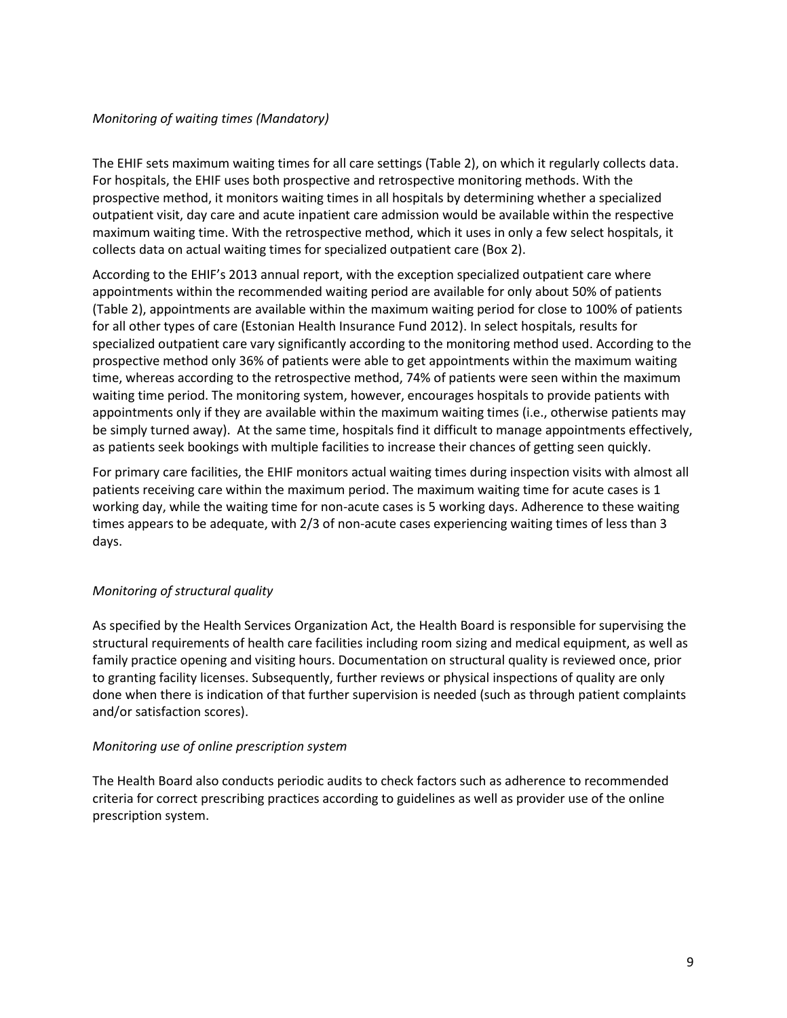### *Monitoring of waiting times (Mandatory)*

The EHIF sets maximum waiting times for all care settings (Table 2), on which it regularly collects data. For hospitals, the EHIF uses both prospective and retrospective monitoring methods. With the prospective method, it monitors waiting times in all hospitals by determining whether a specialized outpatient visit, day care and acute inpatient care admission would be available within the respective maximum waiting time. With the retrospective method, which it uses in only a few select hospitals, it collects data on actual waiting times for specialized outpatient care (Box 2).

According to the EHIF's 2013 annual report, with the exception specialized outpatient care where appointments within the recommended waiting period are available for only about 50% of patients (Table 2), appointments are available within the maximum waiting period for close to 100% of patients for all other types of care (Estonian Health Insurance Fund 2012). In select hospitals, results for specialized outpatient care vary significantly according to the monitoring method used. According to the prospective method only 36% of patients were able to get appointments within the maximum waiting time, whereas according to the retrospective method, 74% of patients were seen within the maximum waiting time period. The monitoring system, however, encourages hospitals to provide patients with appointments only if they are available within the maximum waiting times (i.e., otherwise patients may be simply turned away). At the same time, hospitals find it difficult to manage appointments effectively, as patients seek bookings with multiple facilities to increase their chances of getting seen quickly.

For primary care facilities, the EHIF monitors actual waiting times during inspection visits with almost all patients receiving care within the maximum period. The maximum waiting time for acute cases is 1 working day, while the waiting time for non-acute cases is 5 working days. Adherence to these waiting times appears to be adequate, with 2/3 of non-acute cases experiencing waiting times of less than 3 days.

# *Monitoring of structural quality*

As specified by the Health Services Organization Act, the Health Board is responsible for supervising the structural requirements of health care facilities including room sizing and medical equipment, as well as family practice opening and visiting hours. Documentation on structural quality is reviewed once, prior to granting facility licenses. Subsequently, further reviews or physical inspections of quality are only done when there is indication of that further supervision is needed (such as through patient complaints and/or satisfaction scores).

### *Monitoring use of online prescription system*

The Health Board also conducts periodic audits to check factors such as adherence to recommended criteria for correct prescribing practices according to guidelines as well as provider use of the online prescription system.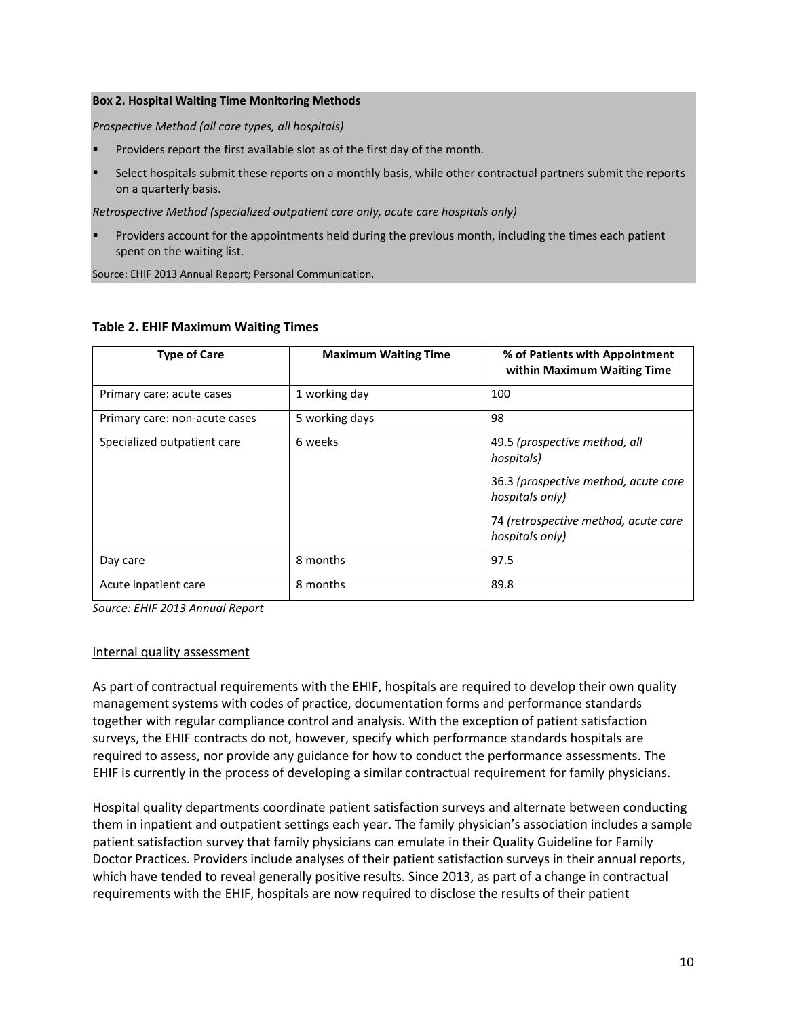#### **Box 2. Hospital Waiting Time Monitoring Methods**

*Prospective Method (all care types, all hospitals)*

- Providers report the first available slot as of the first day of the month.
- Select hospitals submit these reports on a monthly basis, while other contractual partners submit the reports on a quarterly basis.

*Retrospective Method (specialized outpatient care only, acute care hospitals only)* 

 Providers account for the appointments held during the previous month, including the times each patient spent on the waiting list.

Source: EHIF 2013 Annual Report; Personal Communication.

| <b>Type of Care</b>           | <b>Maximum Waiting Time</b> | % of Patients with Appointment<br>within Maximum Waiting Time |
|-------------------------------|-----------------------------|---------------------------------------------------------------|
| Primary care: acute cases     | 1 working day               | 100                                                           |
| Primary care: non-acute cases | 5 working days              | 98                                                            |
| Specialized outpatient care   | 6 weeks                     | 49.5 (prospective method, all<br>hospitals)                   |
|                               |                             | 36.3 (prospective method, acute care<br>hospitals only)       |
|                               |                             | 74 (retrospective method, acute care<br>hospitals only)       |
| Day care                      | 8 months                    | 97.5                                                          |
| Acute inpatient care          | 8 months                    | 89.8                                                          |

### **Table 2. EHIF Maximum Waiting Times**

*Source: EHIF 2013 Annual Report*

### Internal quality assessment

As part of contractual requirements with the EHIF, hospitals are required to develop their own quality management systems with codes of practice, documentation forms and performance standards together with regular compliance control and analysis. With the exception of patient satisfaction surveys, the EHIF contracts do not, however, specify which performance standards hospitals are required to assess, nor provide any guidance for how to conduct the performance assessments. The EHIF is currently in the process of developing a similar contractual requirement for family physicians.

Hospital quality departments coordinate patient satisfaction surveys and alternate between conducting them in inpatient and outpatient settings each year. The family physician's association includes a sample patient satisfaction survey that family physicians can emulate in their Quality Guideline for Family Doctor Practices. Providers include analyses of their patient satisfaction surveys in their annual reports, which have tended to reveal generally positive results. Since 2013, as part of a change in contractual requirements with the EHIF, hospitals are now required to disclose the results of their patient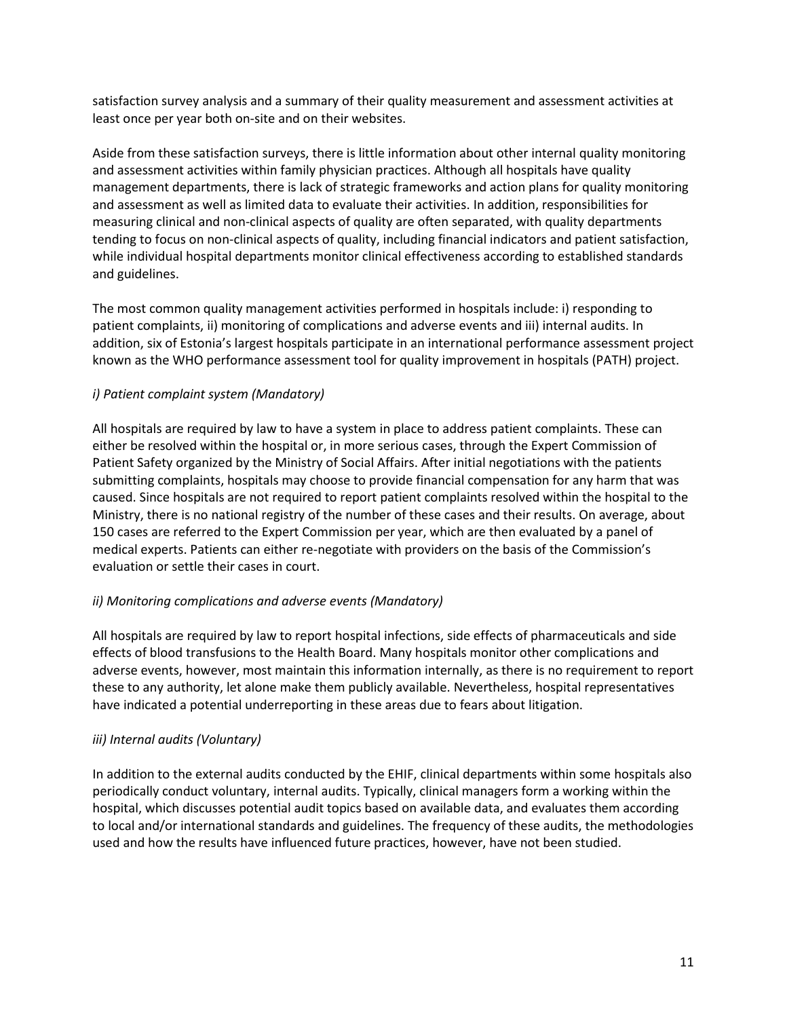satisfaction survey analysis and a summary of their quality measurement and assessment activities at least once per year both on-site and on their websites.

Aside from these satisfaction surveys, there is little information about other internal quality monitoring and assessment activities within family physician practices. Although all hospitals have quality management departments, there is lack of strategic frameworks and action plans for quality monitoring and assessment as well as limited data to evaluate their activities. In addition, responsibilities for measuring clinical and non-clinical aspects of quality are often separated, with quality departments tending to focus on non-clinical aspects of quality, including financial indicators and patient satisfaction, while individual hospital departments monitor clinical effectiveness according to established standards and guidelines.

The most common quality management activities performed in hospitals include: i) responding to patient complaints, ii) monitoring of complications and adverse events and iii) internal audits. In addition, six of Estonia's largest hospitals participate in an international performance assessment project known as the WHO performance assessment tool for quality improvement in hospitals (PATH) project.

# *i) Patient complaint system (Mandatory)*

All hospitals are required by law to have a system in place to address patient complaints. These can either be resolved within the hospital or, in more serious cases, through the Expert Commission of Patient Safety organized by the Ministry of Social Affairs. After initial negotiations with the patients submitting complaints, hospitals may choose to provide financial compensation for any harm that was caused. Since hospitals are not required to report patient complaints resolved within the hospital to the Ministry, there is no national registry of the number of these cases and their results. On average, about 150 cases are referred to the Expert Commission per year, which are then evaluated by a panel of medical experts. Patients can either re-negotiate with providers on the basis of the Commission's evaluation or settle their cases in court.

# *ii) Monitoring complications and adverse events (Mandatory)*

All hospitals are required by law to report hospital infections, side effects of pharmaceuticals and side effects of blood transfusions to the Health Board. Many hospitals monitor other complications and adverse events, however, most maintain this information internally, as there is no requirement to report these to any authority, let alone make them publicly available. Nevertheless, hospital representatives have indicated a potential underreporting in these areas due to fears about litigation.

# *iii) Internal audits (Voluntary)*

In addition to the external audits conducted by the EHIF, clinical departments within some hospitals also periodically conduct voluntary, internal audits. Typically, clinical managers form a working within the hospital, which discusses potential audit topics based on available data, and evaluates them according to local and/or international standards and guidelines. The frequency of these audits, the methodologies used and how the results have influenced future practices, however, have not been studied.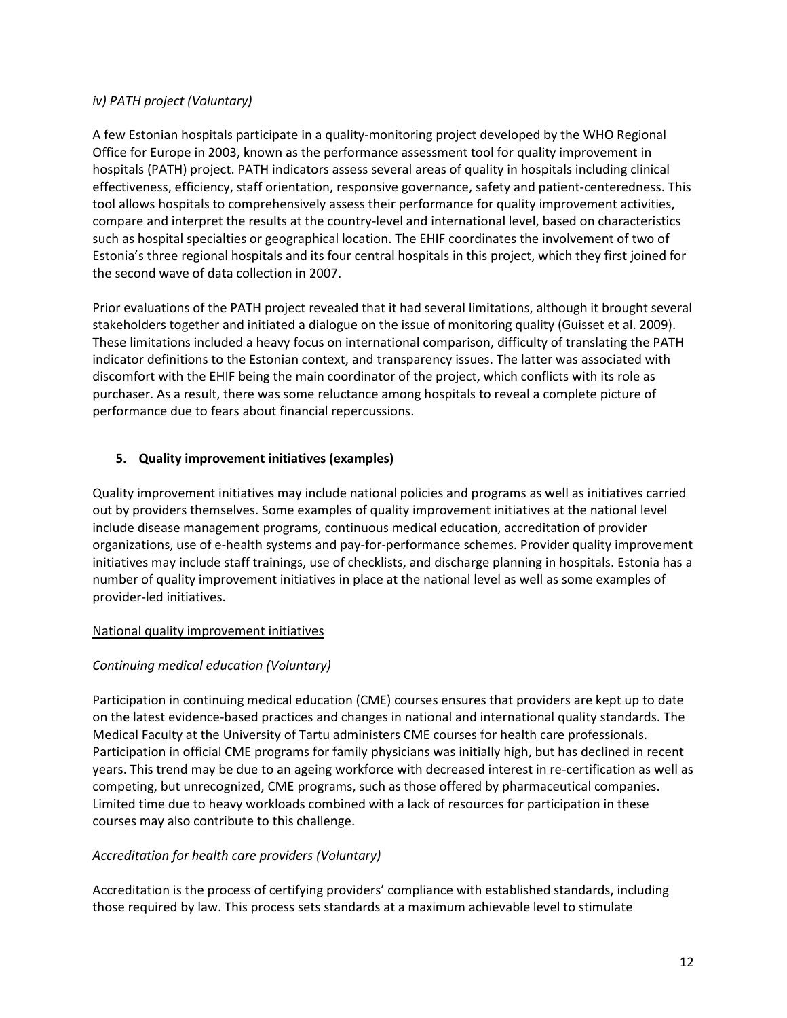# *iv) PATH project (Voluntary)*

A few Estonian hospitals participate in a quality-monitoring project developed by the WHO Regional Office for Europe in 2003, known as the performance assessment tool for quality improvement in hospitals (PATH) project. PATH indicators assess several areas of quality in hospitals including clinical effectiveness, efficiency, staff orientation, responsive governance, safety and patient-centeredness. This tool allows hospitals to comprehensively assess their performance for quality improvement activities, compare and interpret the results at the country-level and international level, based on characteristics such as hospital specialties or geographical location. The EHIF coordinates the involvement of two of Estonia's three regional hospitals and its four central hospitals in this project, which they first joined for the second wave of data collection in 2007.

Prior evaluations of the PATH project revealed that it had several limitations, although it brought several stakeholders together and initiated a dialogue on the issue of monitoring quality (Guisset et al. 2009). These limitations included a heavy focus on international comparison, difficulty of translating the PATH indicator definitions to the Estonian context, and transparency issues. The latter was associated with discomfort with the EHIF being the main coordinator of the project, which conflicts with its role as purchaser. As a result, there was some reluctance among hospitals to reveal a complete picture of performance due to fears about financial repercussions.

# **5. Quality improvement initiatives (examples)**

Quality improvement initiatives may include national policies and programs as well as initiatives carried out by providers themselves. Some examples of quality improvement initiatives at the national level include disease management programs, continuous medical education, accreditation of provider organizations, use of e-health systems and pay-for-performance schemes. Provider quality improvement initiatives may include staff trainings, use of checklists, and discharge planning in hospitals. Estonia has a number of quality improvement initiatives in place at the national level as well as some examples of provider-led initiatives.

# National quality improvement initiatives

# *Continuing medical education (Voluntary)*

Participation in continuing medical education (CME) courses ensures that providers are kept up to date on the latest evidence-based practices and changes in national and international quality standards. The Medical Faculty at the University of Tartu administers CME courses for health care professionals. Participation in official CME programs for family physicians was initially high, but has declined in recent years. This trend may be due to an ageing workforce with decreased interest in re-certification as well as competing, but unrecognized, CME programs, such as those offered by pharmaceutical companies. Limited time due to heavy workloads combined with a lack of resources for participation in these courses may also contribute to this challenge.

# *Accreditation for health care providers (Voluntary)*

Accreditation is the process of certifying providers' compliance with established standards, including those required by law. This process sets standards at a maximum achievable level to stimulate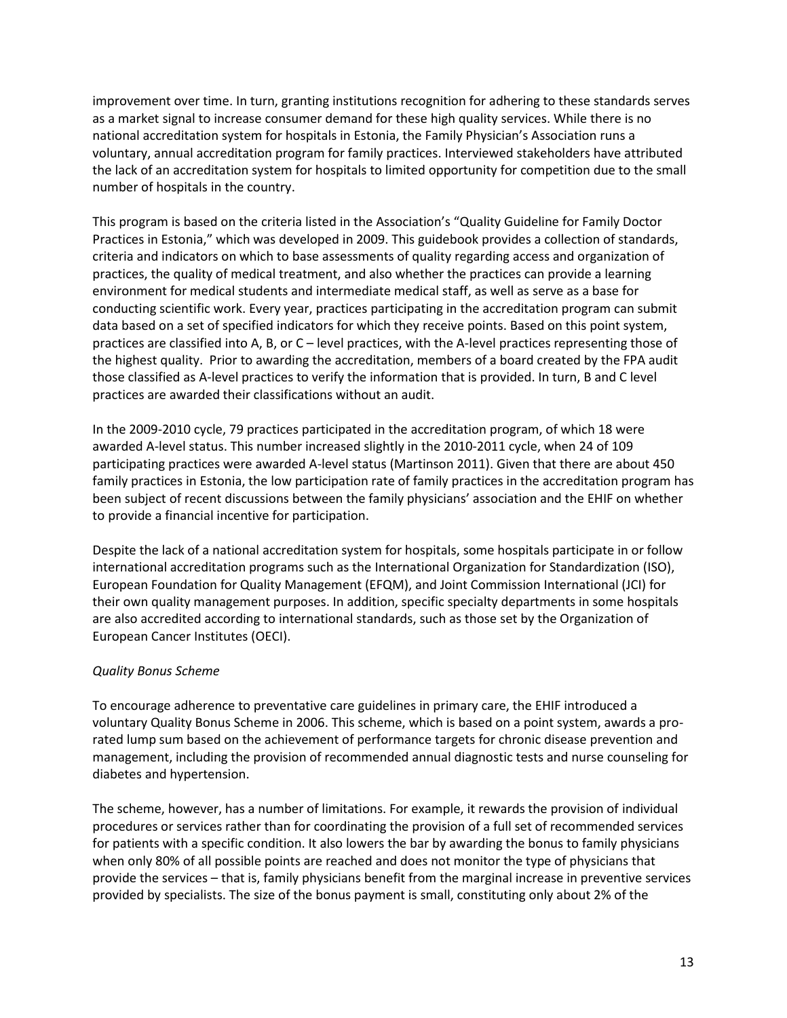improvement over time. In turn, granting institutions recognition for adhering to these standards serves as a market signal to increase consumer demand for these high quality services. While there is no national accreditation system for hospitals in Estonia, the Family Physician's Association runs a voluntary, annual accreditation program for family practices. Interviewed stakeholders have attributed the lack of an accreditation system for hospitals to limited opportunity for competition due to the small number of hospitals in the country.

This program is based on the criteria listed in the Association's "Quality Guideline for Family Doctor Practices in Estonia," which was developed in 2009. This guidebook provides a collection of standards, criteria and indicators on which to base assessments of quality regarding access and organization of practices, the quality of medical treatment, and also whether the practices can provide a learning environment for medical students and intermediate medical staff, as well as serve as a base for conducting scientific work. Every year, practices participating in the accreditation program can submit data based on a set of specified indicators for which they receive points. Based on this point system, practices are classified into A, B, or C – level practices, with the A-level practices representing those of the highest quality. Prior to awarding the accreditation, members of a board created by the FPA audit those classified as A-level practices to verify the information that is provided. In turn, B and C level practices are awarded their classifications without an audit.

In the 2009-2010 cycle, 79 practices participated in the accreditation program, of which 18 were awarded A-level status. This number increased slightly in the 2010-2011 cycle, when 24 of 109 participating practices were awarded A-level status (Martinson 2011). Given that there are about 450 family practices in Estonia, the low participation rate of family practices in the accreditation program has been subject of recent discussions between the family physicians' association and the EHIF on whether to provide a financial incentive for participation.

Despite the lack of a national accreditation system for hospitals, some hospitals participate in or follow international accreditation programs such as the International Organization for Standardization (ISO), European Foundation for Quality Management (EFQM), and Joint Commission International (JCI) for their own quality management purposes. In addition, specific specialty departments in some hospitals are also accredited according to international standards, such as those set by the Organization of European Cancer Institutes (OECI).

# *Quality Bonus Scheme*

To encourage adherence to preventative care guidelines in primary care, the EHIF introduced a voluntary Quality Bonus Scheme in 2006. This scheme, which is based on a point system, awards a prorated lump sum based on the achievement of performance targets for chronic disease prevention and management, including the provision of recommended annual diagnostic tests and nurse counseling for diabetes and hypertension.

The scheme, however, has a number of limitations. For example, it rewards the provision of individual procedures or services rather than for coordinating the provision of a full set of recommended services for patients with a specific condition. It also lowers the bar by awarding the bonus to family physicians when only 80% of all possible points are reached and does not monitor the type of physicians that provide the services – that is, family physicians benefit from the marginal increase in preventive services provided by specialists. The size of the bonus payment is small, constituting only about 2% of the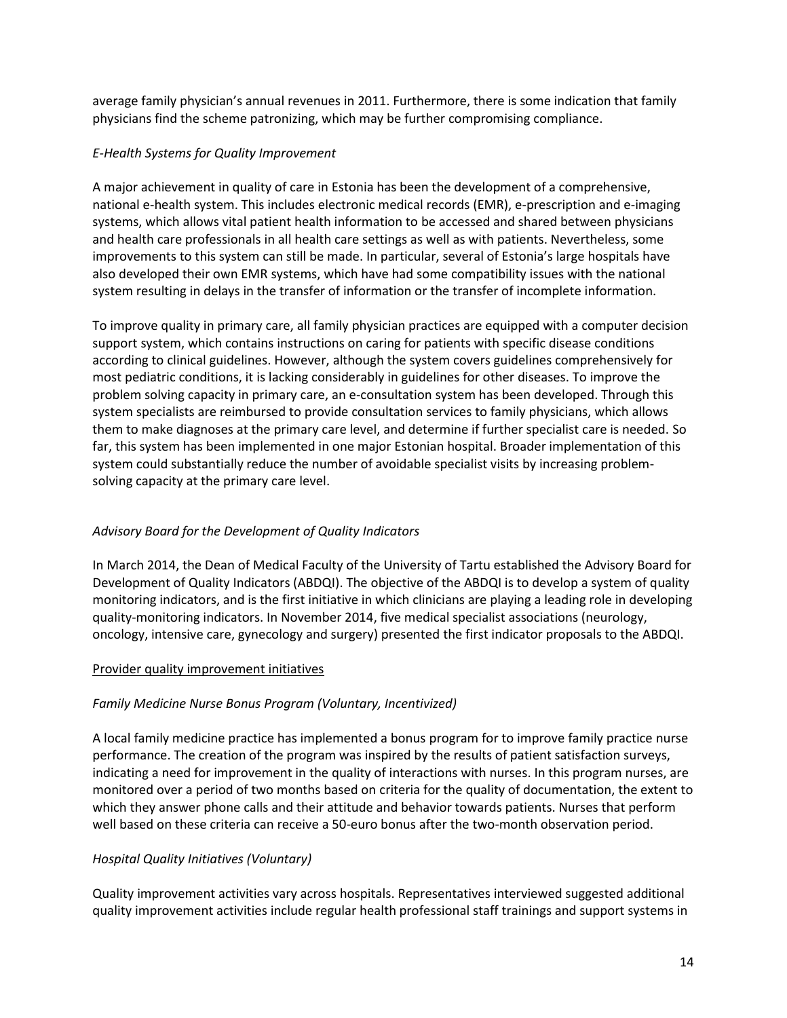average family physician's annual revenues in 2011. Furthermore, there is some indication that family physicians find the scheme patronizing, which may be further compromising compliance.

# *E-Health Systems for Quality Improvement*

A major achievement in quality of care in Estonia has been the development of a comprehensive, national e-health system. This includes electronic medical records (EMR), e-prescription and e-imaging systems, which allows vital patient health information to be accessed and shared between physicians and health care professionals in all health care settings as well as with patients. Nevertheless, some improvements to this system can still be made. In particular, several of Estonia's large hospitals have also developed their own EMR systems, which have had some compatibility issues with the national system resulting in delays in the transfer of information or the transfer of incomplete information.

To improve quality in primary care, all family physician practices are equipped with a computer decision support system, which contains instructions on caring for patients with specific disease conditions according to clinical guidelines. However, although the system covers guidelines comprehensively for most pediatric conditions, it is lacking considerably in guidelines for other diseases. To improve the problem solving capacity in primary care, an e-consultation system has been developed. Through this system specialists are reimbursed to provide consultation services to family physicians, which allows them to make diagnoses at the primary care level, and determine if further specialist care is needed. So far, this system has been implemented in one major Estonian hospital. Broader implementation of this system could substantially reduce the number of avoidable specialist visits by increasing problemsolving capacity at the primary care level.

# *Advisory Board for the Development of Quality Indicators*

In March 2014, the Dean of Medical Faculty of the University of Tartu established the Advisory Board for Development of Quality Indicators (ABDQI). The objective of the ABDQI is to develop a system of quality monitoring indicators, and is the first initiative in which clinicians are playing a leading role in developing quality-monitoring indicators. In November 2014, five medical specialist associations (neurology, oncology, intensive care, gynecology and surgery) presented the first indicator proposals to the ABDQI.

### Provider quality improvement initiatives

# *Family Medicine Nurse Bonus Program (Voluntary, Incentivized)*

A local family medicine practice has implemented a bonus program for to improve family practice nurse performance. The creation of the program was inspired by the results of patient satisfaction surveys, indicating a need for improvement in the quality of interactions with nurses. In this program nurses, are monitored over a period of two months based on criteria for the quality of documentation, the extent to which they answer phone calls and their attitude and behavior towards patients. Nurses that perform well based on these criteria can receive a 50-euro bonus after the two-month observation period.

### *Hospital Quality Initiatives (Voluntary)*

Quality improvement activities vary across hospitals. Representatives interviewed suggested additional quality improvement activities include regular health professional staff trainings and support systems in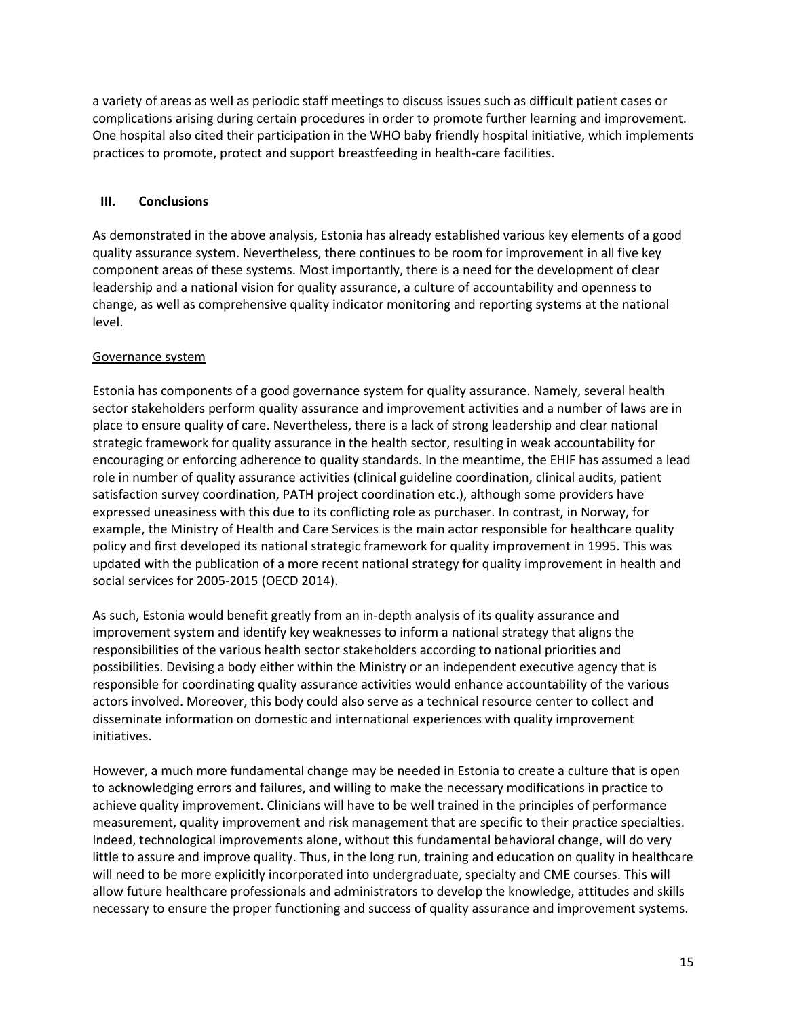a variety of areas as well as periodic staff meetings to discuss issues such as difficult patient cases or complications arising during certain procedures in order to promote further learning and improvement. One hospital also cited their participation in the WHO baby friendly hospital initiative, which implements practices to promote, protect and support breastfeeding in health-care facilities.

# **III. Conclusions**

As demonstrated in the above analysis, Estonia has already established various key elements of a good quality assurance system. Nevertheless, there continues to be room for improvement in all five key component areas of these systems. Most importantly, there is a need for the development of clear leadership and a national vision for quality assurance, a culture of accountability and openness to change, as well as comprehensive quality indicator monitoring and reporting systems at the national level.

# Governance system

Estonia has components of a good governance system for quality assurance. Namely, several health sector stakeholders perform quality assurance and improvement activities and a number of laws are in place to ensure quality of care. Nevertheless, there is a lack of strong leadership and clear national strategic framework for quality assurance in the health sector, resulting in weak accountability for encouraging or enforcing adherence to quality standards. In the meantime, the EHIF has assumed a lead role in number of quality assurance activities (clinical guideline coordination, clinical audits, patient satisfaction survey coordination, PATH project coordination etc.), although some providers have expressed uneasiness with this due to its conflicting role as purchaser. In contrast, in Norway, for example, the Ministry of Health and Care Services is the main actor responsible for healthcare quality policy and first developed its national strategic framework for quality improvement in 1995. This was updated with the publication of a more recent national strategy for quality improvement in health and social services for 2005-2015 (OECD 2014).

As such, Estonia would benefit greatly from an in-depth analysis of its quality assurance and improvement system and identify key weaknesses to inform a national strategy that aligns the responsibilities of the various health sector stakeholders according to national priorities and possibilities. Devising a body either within the Ministry or an independent executive agency that is responsible for coordinating quality assurance activities would enhance accountability of the various actors involved. Moreover, this body could also serve as a technical resource center to collect and disseminate information on domestic and international experiences with quality improvement initiatives.

However, a much more fundamental change may be needed in Estonia to create a culture that is open to acknowledging errors and failures, and willing to make the necessary modifications in practice to achieve quality improvement. Clinicians will have to be well trained in the principles of performance measurement, quality improvement and risk management that are specific to their practice specialties. Indeed, technological improvements alone, without this fundamental behavioral change, will do very little to assure and improve quality. Thus, in the long run, training and education on quality in healthcare will need to be more explicitly incorporated into undergraduate, specialty and CME courses. This will allow future healthcare professionals and administrators to develop the knowledge, attitudes and skills necessary to ensure the proper functioning and success of quality assurance and improvement systems.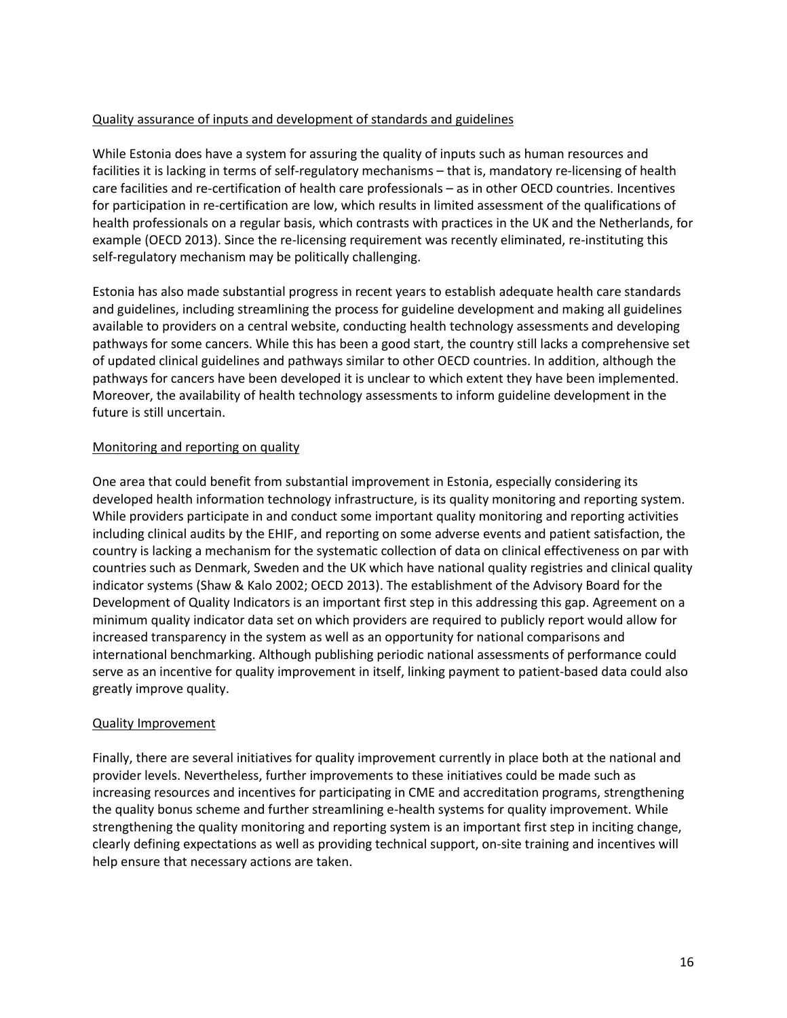# Quality assurance of inputs and development of standards and guidelines

While Estonia does have a system for assuring the quality of inputs such as human resources and facilities it is lacking in terms of self-regulatory mechanisms – that is, mandatory re-licensing of health care facilities and re-certification of health care professionals – as in other OECD countries. Incentives for participation in re-certification are low, which results in limited assessment of the qualifications of health professionals on a regular basis, which contrasts with practices in the UK and the Netherlands, for example (OECD 2013). Since the re-licensing requirement was recently eliminated, re-instituting this self-regulatory mechanism may be politically challenging.

Estonia has also made substantial progress in recent years to establish adequate health care standards and guidelines, including streamlining the process for guideline development and making all guidelines available to providers on a central website, conducting health technology assessments and developing pathways for some cancers. While this has been a good start, the country still lacks a comprehensive set of updated clinical guidelines and pathways similar to other OECD countries. In addition, although the pathways for cancers have been developed it is unclear to which extent they have been implemented. Moreover, the availability of health technology assessments to inform guideline development in the future is still uncertain.

### Monitoring and reporting on quality

One area that could benefit from substantial improvement in Estonia, especially considering its developed health information technology infrastructure, is its quality monitoring and reporting system. While providers participate in and conduct some important quality monitoring and reporting activities including clinical audits by the EHIF, and reporting on some adverse events and patient satisfaction, the country is lacking a mechanism for the systematic collection of data on clinical effectiveness on par with countries such as Denmark, Sweden and the UK which have national quality registries and clinical quality indicator systems (Shaw & Kalo 2002; OECD 2013). The establishment of the Advisory Board for the Development of Quality Indicators is an important first step in this addressing this gap. Agreement on a minimum quality indicator data set on which providers are required to publicly report would allow for increased transparency in the system as well as an opportunity for national comparisons and international benchmarking. Although publishing periodic national assessments of performance could serve as an incentive for quality improvement in itself, linking payment to patient-based data could also greatly improve quality.

### Quality Improvement

Finally, there are several initiatives for quality improvement currently in place both at the national and provider levels. Nevertheless, further improvements to these initiatives could be made such as increasing resources and incentives for participating in CME and accreditation programs, strengthening the quality bonus scheme and further streamlining e-health systems for quality improvement. While strengthening the quality monitoring and reporting system is an important first step in inciting change, clearly defining expectations as well as providing technical support, on-site training and incentives will help ensure that necessary actions are taken.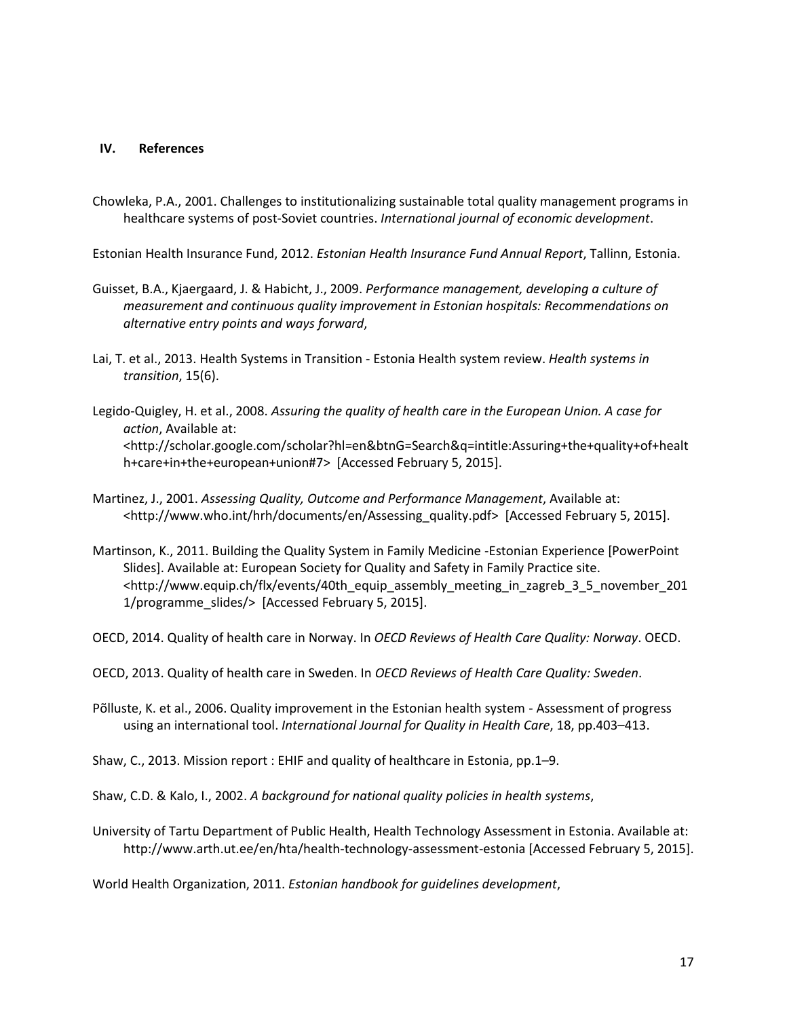### **IV. References**

Chowleka, P.A., 2001. Challenges to institutionalizing sustainable total quality management programs in healthcare systems of post-Soviet countries. *International journal of economic development*.

Estonian Health Insurance Fund, 2012. *Estonian Health Insurance Fund Annual Report*, Tallinn, Estonia.

- Guisset, B.A., Kjaergaard, J. & Habicht, J., 2009. *Performance management, developing a culture of measurement and continuous quality improvement in Estonian hospitals: Recommendations on alternative entry points and ways forward*,
- Lai, T. et al., 2013. Health Systems in Transition Estonia Health system review. *Health systems in transition*, 15(6).
- Legido-Quigley, H. et al., 2008. *Assuring the quality of health care in the European Union. A case for action*, Available at: <http://scholar.google.com/scholar?hl=en&btnG=Search&q=intitle:Assuring+the+quality+of+healt h+care+in+the+european+union#7> [Accessed February 5, 2015].
- Martinez, J., 2001. *Assessing Quality, Outcome and Performance Management*, Available at: <http://www.who.int/hrh/documents/en/Assessing\_quality.pdf> [Accessed February 5, 2015].
- Martinson, K., 2011. Building the Quality System in Family Medicine -Estonian Experience [PowerPoint Slides]. Available at: European Society for Quality and Safety in Family Practice site. <http://www.equip.ch/flx/events/40th\_equip\_assembly\_meeting\_in\_zagreb\_3\_5\_november\_201 1/programme\_slides/> [Accessed February 5, 2015].

OECD, 2014. Quality of health care in Norway. In *OECD Reviews of Health Care Quality: Norway*. OECD.

OECD, 2013. Quality of health care in Sweden. In *OECD Reviews of Health Care Quality: Sweden*.

Põlluste, K. et al., 2006. Quality improvement in the Estonian health system - Assessment of progress using an international tool. *International Journal for Quality in Health Care*, 18, pp.403–413.

Shaw, C., 2013. Mission report : EHIF and quality of healthcare in Estonia, pp.1–9.

Shaw, C.D. & Kalo, I., 2002. *A background for national quality policies in health systems*,

University of Tartu Department of Public Health, Health Technology Assessment in Estonia. Available at: http://www.arth.ut.ee/en/hta/health-technology-assessment-estonia [Accessed February 5, 2015].

World Health Organization, 2011. *Estonian handbook for guidelines development*,